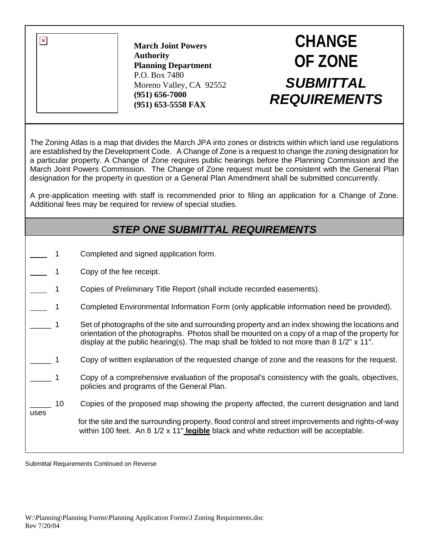**March Joint Powers Authority Planning Department**  P.O. Box 7480 Moreno Valley, CA 92552 **(951) 656-7000 (951) 653-5558 FAX**

## **CHANGE OF ZONE** *SUBMITTAL REQUIREMENTS*

The Zoning Atlas is a map that divides the March JPA into zones or districts within which land use regulations are established by the Development Code. A Change of Zone is a request to change the zoning designation for a particular property. A Change of Zone requires public hearings before the Planning Commission and the March Joint Powers Commission. The Change of Zone request must be consistent with the General Plan designation for the property in question or a General Plan Amendment shall be submitted concurrently.

A pre-application meeting with staff is recommended prior to filing an application for a Change of Zone. Additional fees may be required for review of special studies.

## *STEP ONE SUBMITTAL REQUIREMENTS*

- 1 Completed and signed application form.
- 1 Copy of the fee receipt.
- 1 Copies of Preliminary Title Report (shall include recorded easements).
- 1 Completed Environmental Information Form (only applicable information need be provided).
- 1 Set of photographs of the site and surrounding property and an index showing the locations and orientation of the photographs. Photos shall be mounted on a copy of a map of the property for display at the public hearing(s). The map shall be folded to not more than  $8\frac{1}{2}$  x 11".
- \_\_\_\_\_ 1 Copy of written explanation of the requested change of zone and the reasons for the request.
- \_\_\_\_\_ 1 Copy of a comprehensive evaluation of the proposal's consistency with the goals, objectives, policies and programs of the General Plan.
- 10 Copies of the proposed map showing the property affected, the current designation and land

 for the site and the surrounding property, flood control and street improvements and rights-of-way within 100 feet. An 8 1/2 x 11" **legible** black and white reduction will be acceptable.

Submittal Requirements Continued on Reverse

uses